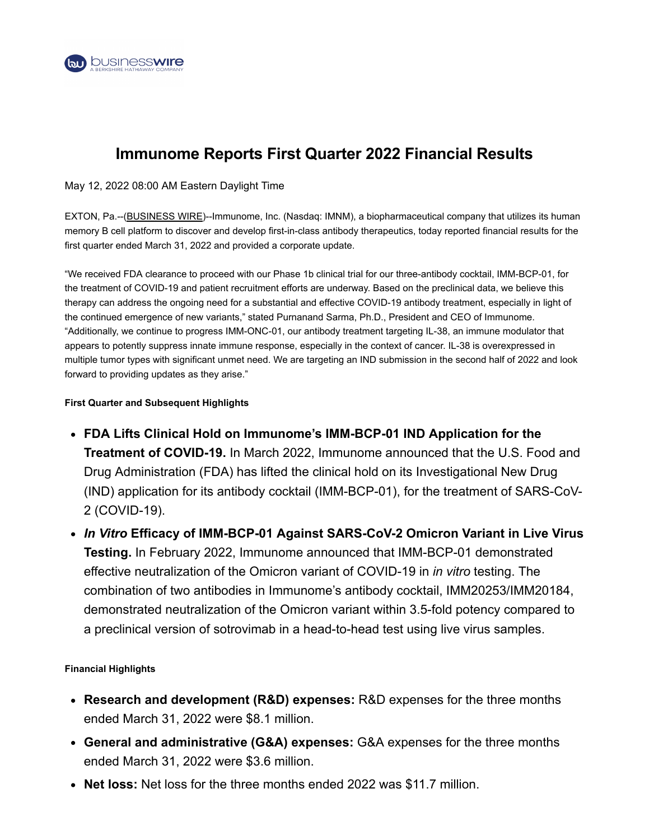

# **Immunome Reports First Quarter 2022 Financial Results**

#### May 12, 2022 08:00 AM Eastern Daylight Time

EXTON, Pa.--[\(BUSINESS WIRE\)](https://www.businesswire.com/)--Immunome, Inc. (Nasdaq: IMNM), a biopharmaceutical company that utilizes its human memory B cell platform to discover and develop first-in-class antibody therapeutics, today reported financial results for the first quarter ended March 31, 2022 and provided a corporate update.

"We received FDA clearance to proceed with our Phase 1b clinical trial for our three-antibody cocktail, IMM-BCP-01, for the treatment of COVID-19 and patient recruitment efforts are underway. Based on the preclinical data, we believe this therapy can address the ongoing need for a substantial and effective COVID-19 antibody treatment, especially in light of the continued emergence of new variants," stated Purnanand Sarma, Ph.D., President and CEO of Immunome. "Additionally, we continue to progress IMM-ONC-01, our antibody treatment targeting IL-38, an immune modulator that appears to potently suppress innate immune response, especially in the context of cancer. IL-38 is overexpressed in multiple tumor types with significant unmet need. We are targeting an IND submission in the second half of 2022 and look forward to providing updates as they arise."

#### **First Quarter and Subsequent Highlights**

- **FDA Lifts Clinical Hold on Immunome's IMM-BCP-01 IND Application for the Treatment of COVID-19.** In March 2022, Immunome announced that the U.S. Food and Drug Administration (FDA) has lifted the clinical hold on its Investigational New Drug (IND) application for its antibody cocktail (IMM-BCP-01), for the treatment of SARS-CoV-2 (COVID-19).
- *In Vitro* **Efficacy of IMM-BCP-01 Against SARS-CoV-2 Omicron Variant in Live Virus Testing.** In February 2022, Immunome announced that IMM-BCP-01 demonstrated effective neutralization of the Omicron variant of COVID-19 in *in vitro* testing. The combination of two antibodies in Immunome's antibody cocktail, IMM20253/IMM20184, demonstrated neutralization of the Omicron variant within 3.5-fold potency compared to a preclinical version of sotrovimab in a head-to-head test using live virus samples.

#### **Financial Highlights**

- **Research and development (R&D) expenses:** R&D expenses for the three months ended March 31, 2022 were \$8.1 million.
- **General and administrative (G&A) expenses:** G&A expenses for the three months ended March 31, 2022 were \$3.6 million.
- **Net loss:** Net loss for the three months ended 2022 was \$11.7 million.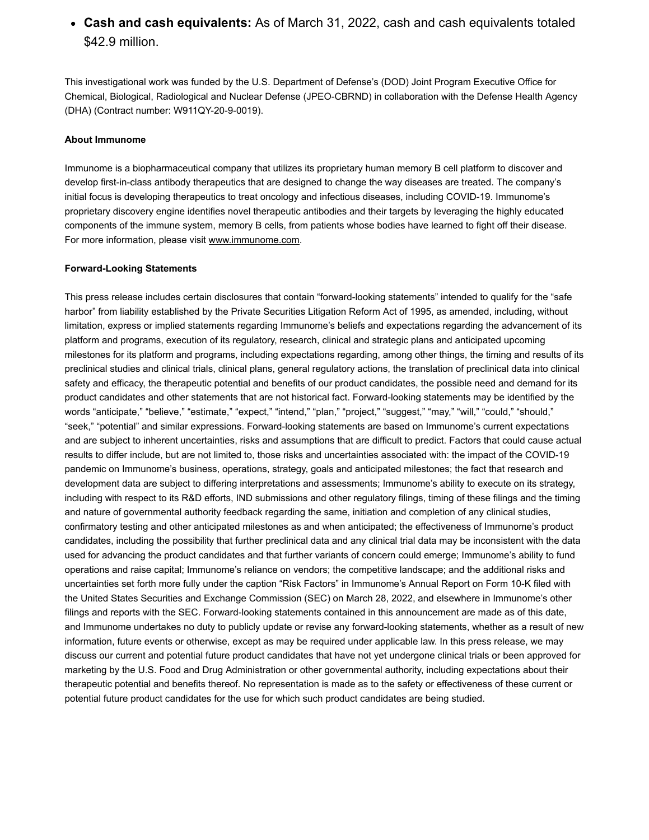# **Cash and cash equivalents:** As of March 31, 2022, cash and cash equivalents totaled \$42.9 million.

This investigational work was funded by the U.S. Department of Defense's (DOD) Joint Program Executive Office for Chemical, Biological, Radiological and Nuclear Defense (JPEO-CBRND) in collaboration with the Defense Health Agency (DHA) (Contract number: W911QY-20-9-0019).

#### **About Immunome**

Immunome is a biopharmaceutical company that utilizes its proprietary human memory B cell platform to discover and develop first-in-class antibody therapeutics that are designed to change the way diseases are treated. The company's initial focus is developing therapeutics to treat oncology and infectious diseases, including COVID-19. Immunome's proprietary discovery engine identifies novel therapeutic antibodies and their targets by leveraging the highly educated components of the immune system, memory B cells, from patients whose bodies have learned to fight off their disease. For more information, please visit [www.immunome.com](https://cts.businesswire.com/ct/CT?id=smartlink&url=http%3A%2F%2Fwww.immunome.com&esheet=52716548&newsitemid=20220512005132&lan=en-US&anchor=www.immunome.com&index=1&md5=ac54dacedfa2fccf4bccb5188eb51c08).

#### **Forward-Looking Statements**

This press release includes certain disclosures that contain "forward-looking statements" intended to qualify for the "safe harbor" from liability established by the Private Securities Litigation Reform Act of 1995, as amended, including, without limitation, express or implied statements regarding Immunome's beliefs and expectations regarding the advancement of its platform and programs, execution of its regulatory, research, clinical and strategic plans and anticipated upcoming milestones for its platform and programs, including expectations regarding, among other things, the timing and results of its preclinical studies and clinical trials, clinical plans, general regulatory actions, the translation of preclinical data into clinical safety and efficacy, the therapeutic potential and benefits of our product candidates, the possible need and demand for its product candidates and other statements that are not historical fact. Forward-looking statements may be identified by the words "anticipate," "believe," "estimate," "expect," "intend," "plan," "project," "suggest," "may," "will," "could," "should," "seek," "potential" and similar expressions. Forward-looking statements are based on Immunome's current expectations and are subject to inherent uncertainties, risks and assumptions that are difficult to predict. Factors that could cause actual results to differ include, but are not limited to, those risks and uncertainties associated with: the impact of the COVID-19 pandemic on Immunome's business, operations, strategy, goals and anticipated milestones; the fact that research and development data are subject to differing interpretations and assessments; Immunome's ability to execute on its strategy, including with respect to its R&D efforts, IND submissions and other regulatory filings, timing of these filings and the timing and nature of governmental authority feedback regarding the same, initiation and completion of any clinical studies, confirmatory testing and other anticipated milestones as and when anticipated; the effectiveness of Immunome's product candidates, including the possibility that further preclinical data and any clinical trial data may be inconsistent with the data used for advancing the product candidates and that further variants of concern could emerge; Immunome's ability to fund operations and raise capital; Immunome's reliance on vendors; the competitive landscape; and the additional risks and uncertainties set forth more fully under the caption "Risk Factors" in Immunome's Annual Report on Form 10-K filed with the United States Securities and Exchange Commission (SEC) on March 28, 2022, and elsewhere in Immunome's other filings and reports with the SEC. Forward-looking statements contained in this announcement are made as of this date, and Immunome undertakes no duty to publicly update or revise any forward-looking statements, whether as a result of new information, future events or otherwise, except as may be required under applicable law. In this press release, we may discuss our current and potential future product candidates that have not yet undergone clinical trials or been approved for marketing by the U.S. Food and Drug Administration or other governmental authority, including expectations about their therapeutic potential and benefits thereof. No representation is made as to the safety or effectiveness of these current or potential future product candidates for the use for which such product candidates are being studied.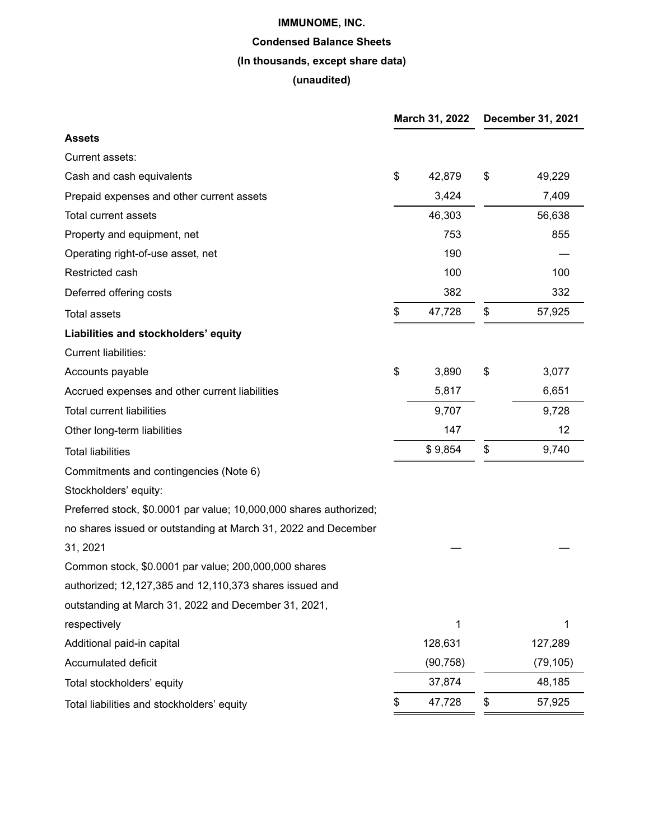### **IMMUNOME, INC.**

### **Condensed Balance Sheets**

## **(In thousands, except share data)**

## **(unaudited)**

|                                                                    | March 31, 2022 |           | December 31, 2021 |           |
|--------------------------------------------------------------------|----------------|-----------|-------------------|-----------|
| <b>Assets</b>                                                      |                |           |                   |           |
| Current assets:                                                    |                |           |                   |           |
| Cash and cash equivalents                                          | \$             | 42,879    | \$                | 49,229    |
| Prepaid expenses and other current assets                          |                | 3,424     |                   | 7,409     |
| Total current assets                                               |                | 46,303    |                   | 56,638    |
| Property and equipment, net                                        |                | 753       |                   | 855       |
| Operating right-of-use asset, net                                  |                | 190       |                   |           |
| Restricted cash                                                    |                | 100       |                   | 100       |
| Deferred offering costs                                            |                | 382       |                   | 332       |
| <b>Total assets</b>                                                | \$             | 47,728    | \$                | 57,925    |
| Liabilities and stockholders' equity                               |                |           |                   |           |
| <b>Current liabilities:</b>                                        |                |           |                   |           |
| Accounts payable                                                   | \$             | 3,890     | \$                | 3,077     |
| Accrued expenses and other current liabilities                     |                | 5,817     |                   | 6,651     |
| <b>Total current liabilities</b>                                   |                | 9,707     |                   | 9,728     |
| Other long-term liabilities                                        |                | 147       |                   | 12        |
| <b>Total liabilities</b>                                           |                | \$9,854   | \$                | 9,740     |
| Commitments and contingencies (Note 6)                             |                |           |                   |           |
| Stockholders' equity:                                              |                |           |                   |           |
| Preferred stock, \$0.0001 par value; 10,000,000 shares authorized; |                |           |                   |           |
| no shares issued or outstanding at March 31, 2022 and December     |                |           |                   |           |
| 31, 2021                                                           |                |           |                   |           |
| Common stock, \$0.0001 par value; 200,000,000 shares               |                |           |                   |           |
| authorized; 12,127,385 and 12,110,373 shares issued and            |                |           |                   |           |
| outstanding at March 31, 2022 and December 31, 2021,               |                |           |                   |           |
| respectively                                                       |                | 1         |                   | 1         |
| Additional paid-in capital                                         |                | 128,631   |                   | 127,289   |
| Accumulated deficit                                                |                | (90, 758) |                   | (79, 105) |
| Total stockholders' equity                                         |                | 37,874    |                   | 48,185    |
| Total liabilities and stockholders' equity                         | \$             | 47,728    | \$                | 57,925    |